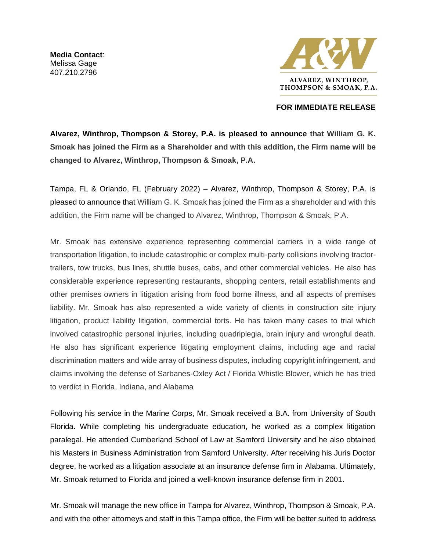**Media Contact**: Melissa Gage 407.210.2796



## **FOR IMMEDIATE RELEASE**

**Alvarez, Winthrop, Thompson & Storey, P.A. is pleased to announce that William G. K. Smoak has joined the Firm as a Shareholder and with this addition, the Firm name will be changed to Alvarez, Winthrop, Thompson & Smoak, P.A.**

Tampa, FL & Orlando, FL (February 2022) – Alvarez, Winthrop, Thompson & Storey, P.A. is pleased to announce that William G. K. Smoak has joined the Firm as a shareholder and with this addition, the Firm name will be changed to Alvarez, Winthrop, Thompson & Smoak, P.A.

Mr. Smoak has extensive experience representing commercial carriers in a wide range of transportation litigation, to include catastrophic or complex multi-party collisions involving tractortrailers, tow trucks, bus lines, shuttle buses, cabs, and other commercial vehicles. He also has considerable experience representing restaurants, shopping centers, retail establishments and other premises owners in litigation arising from food borne illness, and all aspects of premises liability. Mr. Smoak has also represented a wide variety of clients in construction site injury litigation, product liability litigation, commercial torts. He has taken many cases to trial which involved catastrophic personal injuries, including quadriplegia, brain injury and wrongful death. He also has significant experience litigating employment claims, including age and racial discrimination matters and wide array of business disputes, including copyright infringement, and claims involving the defense of Sarbanes-Oxley Act / Florida Whistle Blower, which he has tried to verdict in Florida, Indiana, and Alabama

Following his service in the Marine Corps, Mr. Smoak received a B.A. from University of South Florida. While completing his undergraduate education, he worked as a complex litigation paralegal. He attended Cumberland School of Law at Samford University and he also obtained his Masters in Business Administration from Samford University. After receiving his Juris Doctor degree, he worked as a litigation associate at an insurance defense firm in Alabama. Ultimately, Mr. Smoak returned to Florida and joined a well-known insurance defense firm in 2001.

Mr. Smoak will manage the new office in Tampa for Alvarez, Winthrop, Thompson & Smoak, P.A. and with the other attorneys and staff in this Tampa office, the Firm will be better suited to address